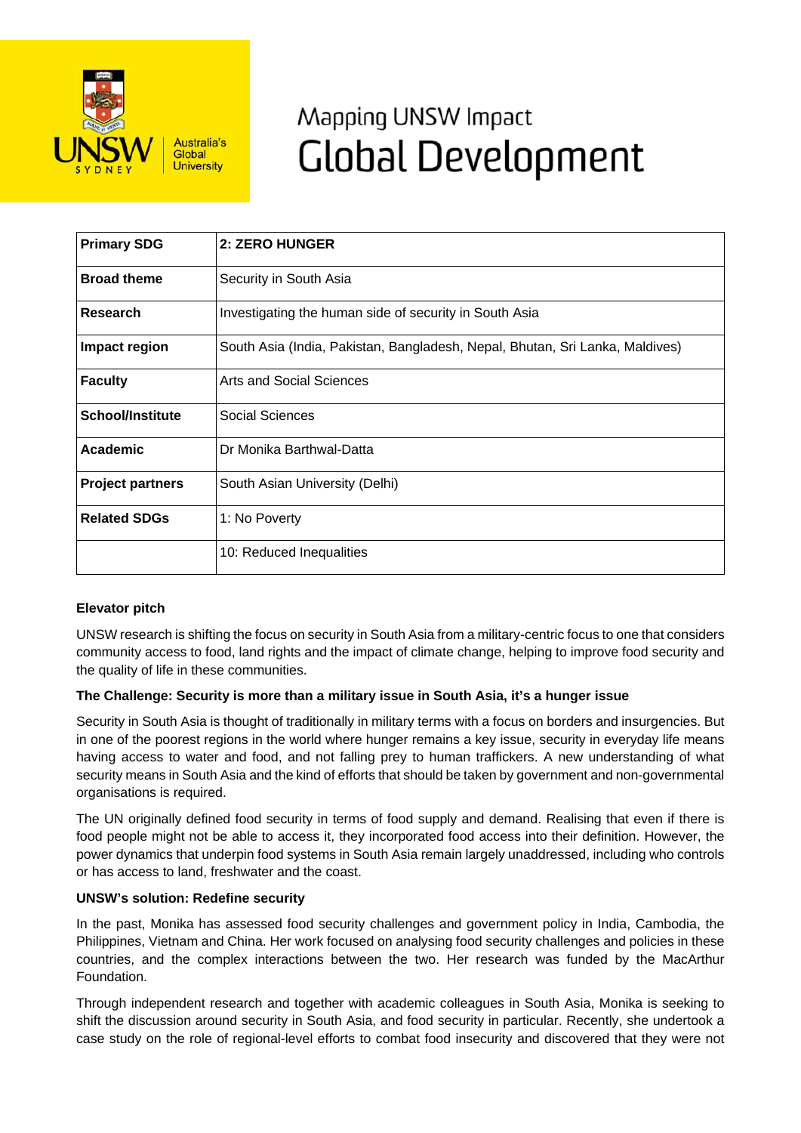

# Mapping UNSW Impact **Global Development**

| <b>Primary SDG</b>      | 2: ZERO HUNGER                                                               |
|-------------------------|------------------------------------------------------------------------------|
| <b>Broad theme</b>      | Security in South Asia                                                       |
| Research                | Investigating the human side of security in South Asia                       |
| Impact region           | South Asia (India, Pakistan, Bangladesh, Nepal, Bhutan, Sri Lanka, Maldives) |
| <b>Faculty</b>          | Arts and Social Sciences                                                     |
| <b>School/Institute</b> | Social Sciences                                                              |
| Academic                | Dr Monika Barthwal-Datta                                                     |
| <b>Project partners</b> | South Asian University (Delhi)                                               |
| <b>Related SDGs</b>     | 1: No Poverty                                                                |
|                         | 10: Reduced Inequalities                                                     |

## **Elevator pitch**

UNSW research is shifting the focus on security in South Asia from a military-centric focus to one that considers community access to food, land rights and the impact of climate change, helping to improve food security and the quality of life in these communities.

## **The Challenge: Security is more than a military issue in South Asia, it's a hunger issue**

Security in South Asia is thought of traditionally in military terms with a focus on borders and insurgencies. But in one of the poorest regions in the world where hunger remains a key issue, security in everyday life means having access to water and food, and not falling prey to human traffickers. A new understanding of what security means in South Asia and the kind of efforts that should be taken by government and non-governmental organisations is required.

The UN originally defined food security in terms of food supply and demand. Realising that even if there is food people might not be able to access it, they incorporated food access into their definition. However, the power dynamics that underpin food systems in South Asia remain largely unaddressed, including who controls or has access to land, freshwater and the coast.

## **UNSW's solution: Redefine security**

In the past, Monika has assessed food security challenges and government policy in India, Cambodia, the Philippines, Vietnam and China. Her work focused on analysing food security challenges and policies in these countries, and the complex interactions between the two. Her research was funded by the MacArthur Foundation.

Through independent research and together with academic colleagues in South Asia, Monika is seeking to shift the discussion around security in South Asia, and food security in particular. Recently, she undertook a case study on the role of regional-level efforts to combat food insecurity and discovered that they were not